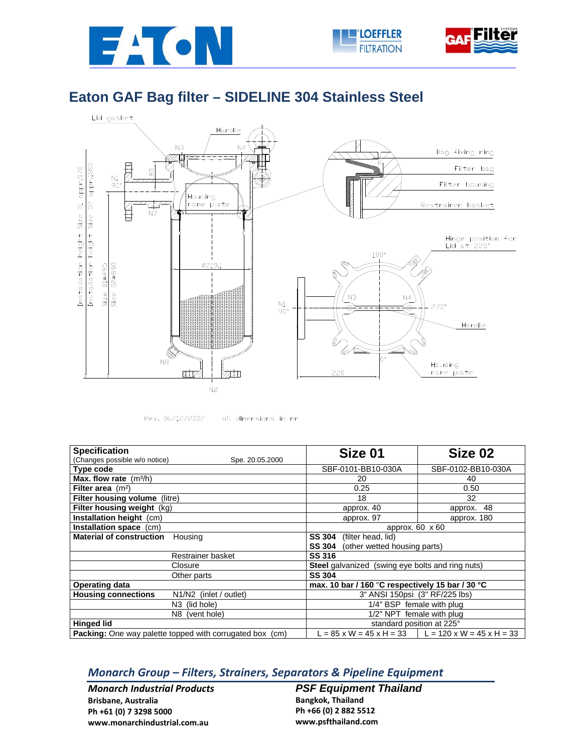





## **Eaton GAF Bag filter – SIDELINE 304 Stainless Steel**



Rev. 06/12/2002

all dimensions in mm

| <b>Specification</b>                                            | Size 01                                                 | Size 02                                              |  |
|-----------------------------------------------------------------|---------------------------------------------------------|------------------------------------------------------|--|
| (Changes possible w/o notice)<br>Spe. 20.05.2000                |                                                         |                                                      |  |
| Type code                                                       | SBF-0101-BB10-030A                                      | SBF-0102-BB10-030A                                   |  |
| <b>Max. flow rate</b> $(m^3/h)$                                 | 20                                                      | 40                                                   |  |
| Filter area $(m2)$                                              | 0.25                                                    | 0.50                                                 |  |
| Filter housing volume (litre)                                   | 18                                                      | 32                                                   |  |
| Filter housing weight (kg)                                      | approx. 40                                              | 48<br>approx.                                        |  |
| Installation height (cm)                                        | approx. 97                                              | approx. 180                                          |  |
| Installation space (cm)                                         | approx. $60 \times 60$                                  |                                                      |  |
| <b>Material of construction</b><br>Housing                      | <b>SS 304</b><br>(filter head, lid)                     |                                                      |  |
|                                                                 | (other wetted housing parts)<br><b>SS 304</b>           |                                                      |  |
| Restrainer basket                                               | <b>SS 316</b>                                           |                                                      |  |
| Closure                                                         | <b>Steel</b> galvanized (swing eye bolts and ring nuts) |                                                      |  |
| Other parts                                                     | <b>SS 304</b>                                           |                                                      |  |
| <b>Operating data</b>                                           | max. 10 bar / 160 °C respectively 15 bar / 30 °C        |                                                      |  |
| <b>Housing connections</b><br>N1/N2 (inlet / outlet)            | 3" ANSI 150psi (3" RF/225 lbs)                          |                                                      |  |
| N <sub>3</sub> (lid hole)                                       | 1/4" BSP female with plug                               |                                                      |  |
| N8 (vent hole)                                                  | 1/2" NPT female with plug                               |                                                      |  |
| <b>Hinged lid</b>                                               | standard position at 225°                               |                                                      |  |
| <b>Packing:</b> One way palette topped with corrugated box (cm) |                                                         | L = 85 x W = 45 x H = 33   L = 120 x W = 45 x H = 33 |  |

## *Monarch Group – Filters, Strainers, Separators & Pipeline Equipment*

*Monarch Industrial Products* **Brisbane, Australia Ph +61 (0) 7 3298 5000 www.monarchindustrial.com.au**

*PSF Equipment Thailand*  **Bangkok, Thailand Ph +66 (0) 2 882 5512 www.psfthailand.com**